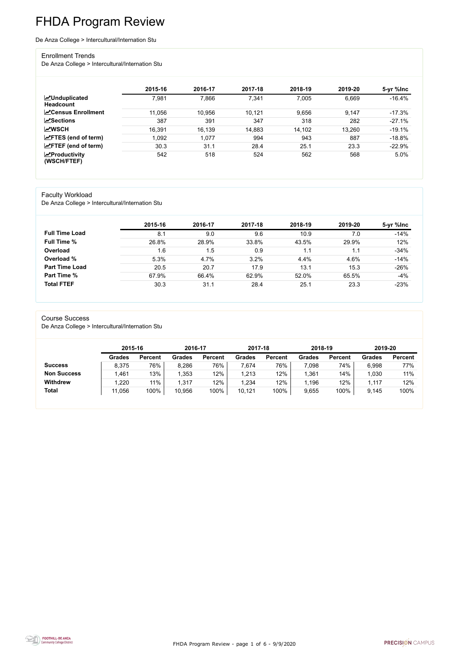FHDA Program Review - page 1 of 6 - 9/9/2020



# FHDA Program Review

#### De Anza College > Intercultural/Internation Stu

#### Enrollment Trends

De Anza College > Intercultural/Internation Stu

|                                          | 2015-16 | 2016-17 | 2017-18 | 2018-19 | 2019-20 | 5-yr %lnc |
|------------------------------------------|---------|---------|---------|---------|---------|-----------|
| <b>MUnduplicated</b><br><b>Headcount</b> | 7,981   | 7,866   | 7,341   | 7,005   | 6,669   | $-16.4%$  |
| <b>∠</b> Census Enrollment               | 11,056  | 10,956  | 10,121  | 9,656   | 9,147   | $-17.3\%$ |
| <b>ZSections</b>                         | 387     | 391     | 347     | 318     | 282     | $-27.1%$  |
| <b>MWSCH</b>                             | 16,391  | 16,139  | 14,883  | 14,102  | 13,260  | $-19.1%$  |
| $\angle$ FTES (end of term)              | 1,092   | 1,077   | 994     | 943     | 887     | $-18.8%$  |
| $\angle$ FTEF (end of term)              | 30.3    | 31.1    | 28.4    | 25.1    | 23.3    | $-22.9%$  |
| $\chi$ Productivity<br>(WSCH/FTEF)       | 542     | 518     | 524     | 562     | 568     | 5.0%      |

#### Faculty Workload

De Anza College > Intercultural/Internation Stu

|                       | 2015-16 | 2016-17 | 2017-18 | 2018-19 | 2019-20 | 5-yr %lnc |
|-----------------------|---------|---------|---------|---------|---------|-----------|
| <b>Full Time Load</b> | 8.1     | 9.0     | 9.6     | 10.9    | 7.0     | $-14%$    |
| <b>Full Time %</b>    | 26.8%   | 28.9%   | 33.8%   | 43.5%   | 29.9%   | 12%       |
| Overload              | 1.6     | 1.5     | 0.9     |         |         | $-34%$    |
| Overload %            | 5.3%    | 4.7%    | 3.2%    | 4.4%    | 4.6%    | $-14%$    |
| <b>Part Time Load</b> | 20.5    | 20.7    | 17.9    | 13.1    | 15.3    | $-26%$    |
| <b>Part Time %</b>    | 67.9%   | 66.4%   | 62.9%   | 52.0%   | 65.5%   | $-4%$     |
| <b>Total FTEF</b>     | 30.3    | 31.1    | 28.4    | 25.1    | 23.3    | $-23%$    |

#### Course Success

De Anza College > Intercultural/Internation Stu

|                    |               | 2015-16        |               | 2016-17        | 2017-18       |                | 2018-19       |                | 2019-20       |                |
|--------------------|---------------|----------------|---------------|----------------|---------------|----------------|---------------|----------------|---------------|----------------|
|                    | <b>Grades</b> | <b>Percent</b> | <b>Grades</b> | <b>Percent</b> | <b>Grades</b> | <b>Percent</b> | <b>Grades</b> | <b>Percent</b> | <b>Grades</b> | <b>Percent</b> |
| <b>Success</b>     | 8,375         | 76%            | 8,286         | 76%            | 7,674         | 76%            | 7,098         | 74%            | 6,998         | 77%            |
| <b>Non Success</b> | 1,461         | 13%            | 1,353         | 12%            | 1,213         | 12%            | 1,361         | 14%            | 1,030         | 11%            |
| <b>Withdrew</b>    | 1,220         | 11%            | 1,317         | 12%            | 1,234         | 12%            | 1,196         | 12%            | 1.117         | 12%            |
| <b>Total</b>       | 11,056        | 100%           | 10,956        | 100%           | 10,121        | 100%           | 9,655         | 100%           | 9,145         | 100%           |

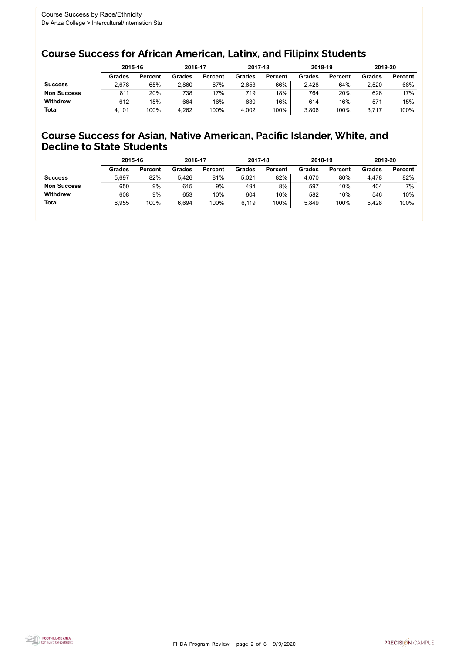FHDA Program Review - page 2 of 6 - 9/9/2020



### Course Success for African American, Latinx, and Filipinx Students

### Course Success for Asian, Native American, Pacific Islander, White, and Decline to State Students

|                    |               | 2015-16        |               | 2016-17        |               | 2017-18        | 2018-19       |                | 2019-20       |                |
|--------------------|---------------|----------------|---------------|----------------|---------------|----------------|---------------|----------------|---------------|----------------|
|                    | <b>Grades</b> | <b>Percent</b> | <b>Grades</b> | <b>Percent</b> | <b>Grades</b> | <b>Percent</b> | <b>Grades</b> | <b>Percent</b> | <b>Grades</b> | <b>Percent</b> |
| <b>Success</b>     | 2,678         | 65%            | 2,860         | 67%            | 2,653         | 66%            | 2,428         | 64%            | 2,520         | 68%            |
| <b>Non Success</b> | 811           | 20%            | 738           | $17\%$         | 719           | 18%            | 764           | 20%            | 626           | 17%            |
| <b>Withdrew</b>    | 612           | 15%            | 664           | 16%            | 630           | 16%            | 614           | 16%            | 57'           | 15%            |
| <b>Total</b>       | 4,101         | 100%           | 4,262         | 100%           | 4,002         | 100%           | 3,806         | 100%           | 3,717         | 100%           |

|                    | 2015-16       |                | 2016-17       |                | 2017-18       |                | 2018-19       |                | 2019-20       |                |
|--------------------|---------------|----------------|---------------|----------------|---------------|----------------|---------------|----------------|---------------|----------------|
|                    | <b>Grades</b> | <b>Percent</b> | <b>Grades</b> | <b>Percent</b> | <b>Grades</b> | <b>Percent</b> | <b>Grades</b> | <b>Percent</b> | <b>Grades</b> | <b>Percent</b> |
| <b>Success</b>     | 5,697         | 82%            | 5.426         | 81%            | 5.021         | 82%            | 4,670         | 80%            | 4,478         | 82%            |
| <b>Non Success</b> | 650           | 9%             | 615           | 9%             | 494           | 8%             | 597           | 10%            | 404           | 7%             |
| <b>Withdrew</b>    | 608           | 9%             | 653           | 10%            | 604           | 10%            | 582           | 10%            | 546           | 10%            |
| <b>Total</b>       | 6,955         | 100%           | 6,694         | 100%           | 6,119         | 100%           | 5,849         | 100%           | 5,428         | 100%           |
|                    |               |                |               |                |               |                |               |                |               |                |

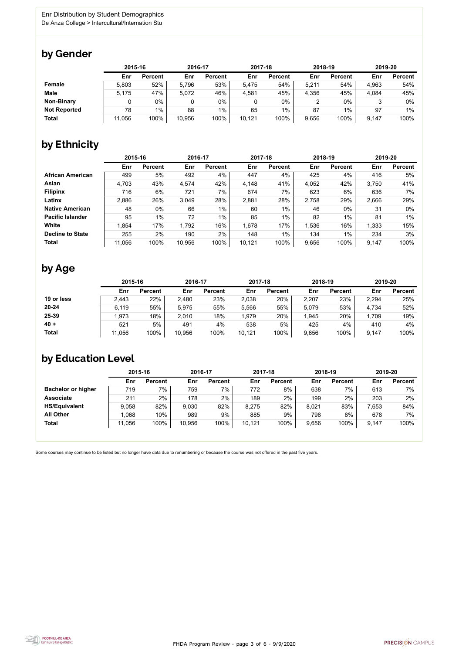FHDA Program Review - page 3 of 6 - 9/9/2020



Some courses may continue to be listed but no longer have data due to renumbering or because the course was not offered in the past five years.



### by Gender

|                     |        | 2015-16        |        | 2016-17        |        | 2017-18        |       | 2018-19        |       | 2019-20        |  |
|---------------------|--------|----------------|--------|----------------|--------|----------------|-------|----------------|-------|----------------|--|
|                     | Enr    | <b>Percent</b> | Enr    | <b>Percent</b> | Enr    | <b>Percent</b> | Enr   | <b>Percent</b> | Enr   | <b>Percent</b> |  |
| <b>Female</b>       | 5,803  | 52%            | 5,796  | 53%            | 5,475  | 54%            | 5,211 | 54%            | 4,963 | 54%            |  |
| <b>Male</b>         | 5,175  | 47%            | 5,072  | 46%            | 4,581  | 45%            | 4,356 | 45%            | 4,084 | 45%            |  |
| <b>Non-Binary</b>   |        | 0%             |        | $0\%$          |        | 0%             |       | $0\%$          |       | 0%             |  |
| <b>Not Reported</b> | 78     | $1\%$          | 88     | $1\%$          | 65     | $1\%$          | 87    | $1\%$          | 97    | 1%             |  |
| <b>Total</b>        | 11,056 | 100%           | 10,956 | 100%           | 10,121 | 100%           | 9,656 | 100%           | 9,147 | 100%           |  |

# by Ethnicity

|                         | 2015-16 |                | 2016-17 |                | 2017-18 |                | 2018-19 |                | 2019-20 |                |
|-------------------------|---------|----------------|---------|----------------|---------|----------------|---------|----------------|---------|----------------|
|                         | Enr     | <b>Percent</b> | Enr     | <b>Percent</b> | Enr     | <b>Percent</b> | Enr     | <b>Percent</b> | Enr     | <b>Percent</b> |
| <b>African American</b> | 499     | 5%             | 492     | 4%             | 447     | 4%             | 425     | 4%             | 416     | 5%             |
| Asian                   | 4,703   | 43%            | 4,574   | 42%            | 4,148   | 41%            | 4,052   | 42%            | 3,750   | 41%            |
| <b>Filipinx</b>         | 716     | 6%             | 721     | 7%             | 674     | 7%             | 623     | 6%             | 636     | 7%             |
| Latinx                  | 2,886   | 26%            | 3,049   | 28%            | 2,881   | 28%            | 2,758   | 29%            | 2,666   | 29%            |
| <b>Native American</b>  | 48      | $0\%$          | 66      | $1\%$          | 60      | $1\%$          | 46      | $0\%$          | 31      | $0\%$          |
| <b>Pacific Islander</b> | 95      | $1\%$          | 72      | $1\%$          | 85      | $1\%$          | 82      | $1\%$          | 81      | 1%             |
| White                   | 1,854   | 17%            | 1,792   | 16%            | 1,678   | 17%            | 1,536   | 16%            | 1,333   | 15%            |
| <b>Decline to State</b> | 255     | 2%             | 190     | 2%             | 148     | 1%             | 134     | 1%             | 234     | 3%             |
| <b>Total</b>            | 11,056  | 100%           | 10,956  | 100%           | 10,121  | 100%           | 9,656   | 100%           | 9,147   | 100%           |

### by Age

|              | 2015-16 |                | 2016-17 |                | 2017-18 |                | 2018-19 |                | 2019-20 |                |
|--------------|---------|----------------|---------|----------------|---------|----------------|---------|----------------|---------|----------------|
|              | Enr     | <b>Percent</b> | Enr     | <b>Percent</b> | Enr     | <b>Percent</b> | Enr     | <b>Percent</b> | Enr     | <b>Percent</b> |
| 19 or less   | 2,443   | 22%            | 2,480   | 23%            | 2,038   | 20%            | 2,207   | 23%            | 2,294   | 25%            |
| $20 - 24$    | 6,119   | 55%            | 5,975   | 55%            | 5,566   | 55%            | 5,079   | 53%            | 4,734   | 52%            |
| 25-39        | .973    | 18%            | 2,010   | 18%            | 1,979   | 20%            | 1,945   | 20%            | 1,709   | 19%            |
| $40 +$       | 521     | 5%             | 491     | 4%             | 538     | 5%             | 425     | 4%             | 410     | 4%             |
| <b>Total</b> | 11,056  | 100%           | 10,956  | 100%           | 10,121  | 100%           | 9,656   | 100%           | 9,147   | 100%           |

## by Education Level

|                           | 2015-16 |                | 2016-17 |                | 2017-18 |                | 2018-19 |                | 2019-20 |                |
|---------------------------|---------|----------------|---------|----------------|---------|----------------|---------|----------------|---------|----------------|
|                           | Enr     | <b>Percent</b> | Enr     | <b>Percent</b> | Enr     | <b>Percent</b> | Enr     | <b>Percent</b> | Enr     | <b>Percent</b> |
| <b>Bachelor or higher</b> | 719     | 7%             | 759     | $7\%$          | 772     | 8%             | 638     | 7%             | 613     | 7%             |
| <b>Associate</b>          | 211     | 2%             | 178     | 2%             | 189     | 2%             | 199     | 2%             | 203     | 2%             |
| <b>HS/Equivalent</b>      | 9,058   | 82%            | 9,030   | 82%            | 8,275   | 82%            | 8,021   | 83%            | 7,653   | 84%            |
| <b>All Other</b>          | 1,068   | 10%            | 989     | 9%             | 885     | 9%             | 798     | 8%             | 678     | 7%             |
| <b>Total</b>              | 11,056  | 100%           | 10,956  | 100%           | 10,121  | 100%           | 9,656   | 100%           | 9,147   | 100%           |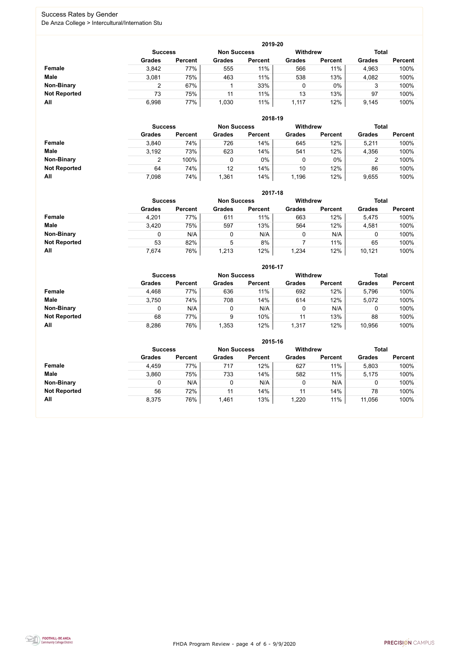FHDA Program Review - page 4 of 6 - 9/9/2020



### Success Rates by Gender De Anza College > Intercultural/Internation Stu

|                     | 2019-20        |                |                    |                |                 |                |               |                |  |  |  |  |  |
|---------------------|----------------|----------------|--------------------|----------------|-----------------|----------------|---------------|----------------|--|--|--|--|--|
|                     | <b>Success</b> |                | <b>Non Success</b> |                | <b>Withdrew</b> |                | <b>Total</b>  |                |  |  |  |  |  |
|                     | <b>Grades</b>  | <b>Percent</b> | <b>Grades</b>      | <b>Percent</b> | <b>Grades</b>   | <b>Percent</b> | <b>Grades</b> | <b>Percent</b> |  |  |  |  |  |
| <b>Female</b>       | 3,842          | 77%            | 555                | 11%            | 566             | 11%            | 4,963         | 100%           |  |  |  |  |  |
| <b>Male</b>         | 3,081          | 75%            | 463                | 11%            | 538             | 13%            | 4,082         | 100%           |  |  |  |  |  |
| <b>Non-Binary</b>   |                | 67%            |                    | 33%            | 0               | $0\%$          | 3             | 100%           |  |  |  |  |  |
| <b>Not Reported</b> | 73             | 75%            | 11                 | 11%            | 13              | 13%            | 97            | 100%           |  |  |  |  |  |
| All                 | 6,998          | 77%            | 1,030              | 11%            | 1,117           | 12%            | 9,145         | 100%           |  |  |  |  |  |

|                     |               | 2018-19                              |               |                |               |                 |               |                |  |  |  |  |  |  |
|---------------------|---------------|--------------------------------------|---------------|----------------|---------------|-----------------|---------------|----------------|--|--|--|--|--|--|
|                     |               | <b>Non Success</b><br><b>Success</b> |               |                |               | <b>Withdrew</b> | <b>Total</b>  |                |  |  |  |  |  |  |
|                     | <b>Grades</b> | <b>Percent</b>                       | <b>Grades</b> | <b>Percent</b> | <b>Grades</b> | <b>Percent</b>  | <b>Grades</b> | <b>Percent</b> |  |  |  |  |  |  |
| Female              | 3,840         | 74%                                  | 726           | 14%            | 645           | 12%             | 5,211         | 100%           |  |  |  |  |  |  |
| <b>Male</b>         | 3,192         | 73%                                  | 623           | 14%            | 541           | 12%             | 4,356         | 100%           |  |  |  |  |  |  |
| <b>Non-Binary</b>   | ⌒             | 100%                                 | 0             | $0\%$          | 0             | $0\%$           | າ<br>∠        | 100%           |  |  |  |  |  |  |
| <b>Not Reported</b> | 64            | 74%                                  | 12            | 14%            | 10            | 12%             | 86            | 100%           |  |  |  |  |  |  |
| All                 | 7,098         | 74%                                  | 1,361         | 14%            | 1,196         | 12%             | 9,655         | 100%           |  |  |  |  |  |  |

|                     |                | 2017-18        |                    |                |                 |                |               |                |  |  |  |  |  |  |
|---------------------|----------------|----------------|--------------------|----------------|-----------------|----------------|---------------|----------------|--|--|--|--|--|--|
|                     | <b>Success</b> |                | <b>Non Success</b> |                | <b>Withdrew</b> | <b>Total</b>   |               |                |  |  |  |  |  |  |
|                     | <b>Grades</b>  | <b>Percent</b> | <b>Grades</b>      | <b>Percent</b> | <b>Grades</b>   | <b>Percent</b> | <b>Grades</b> | <b>Percent</b> |  |  |  |  |  |  |
| Female              | 4,201          | 77%            | 611                | 11%            | 663             | 12%            | 5,475         | 100%           |  |  |  |  |  |  |
| <b>Male</b>         | 3,420          | 75%            | 597                | 13%            | 564             | 12%            | 4,581         | 100%           |  |  |  |  |  |  |
| <b>Non-Binary</b>   | 0              | N/A            |                    | N/A            | 0               | N/A            | 0             | 100%           |  |  |  |  |  |  |
| <b>Not Reported</b> | 53             | 82%            | 5                  | 8%             |                 | 11%            | 65            | 100%           |  |  |  |  |  |  |
| All                 | 7,674          | 76%            | 1,213              | 12%            | 1,234           | 12%            | 10,121        | 100%           |  |  |  |  |  |  |

|                     | 2016-17        |                    |               |                |                 |                |               |                |  |
|---------------------|----------------|--------------------|---------------|----------------|-----------------|----------------|---------------|----------------|--|
|                     | <b>Success</b> | <b>Non Success</b> |               |                | <b>Withdrew</b> |                | <b>Total</b>  |                |  |
|                     | <b>Grades</b>  | <b>Percent</b>     | <b>Grades</b> | <b>Percent</b> | <b>Grades</b>   | <b>Percent</b> | <b>Grades</b> | <b>Percent</b> |  |
| Female              | 4,468          | 77%                | 636           | 11%            | 692             | 12%            | 5,796         | 100%           |  |
| <b>Male</b>         | 3,750          | 74%                | 708           | 14%            | 614             | 12%            | 5,072         | 100%           |  |
| <b>Non-Binary</b>   | 0              | N/A                |               | N/A            | 0               | N/A            | 0             | 100%           |  |
| <b>Not Reported</b> | 68             | 77%                | 9             | 10%            | 11              | 13%            | 88            | 100%           |  |
| All                 | 8,286          | 76%                | 1,353         | 12%            | 1,317           | 12%            | 10,956        | 100%           |  |

|                     | 2015-16        |                    |               |                 |               |                |               |                |  |
|---------------------|----------------|--------------------|---------------|-----------------|---------------|----------------|---------------|----------------|--|
|                     | <b>Success</b> | <b>Non Success</b> |               | <b>Withdrew</b> |               | <b>Total</b>   |               |                |  |
|                     | <b>Grades</b>  | <b>Percent</b>     | <b>Grades</b> | <b>Percent</b>  | <b>Grades</b> | <b>Percent</b> | <b>Grades</b> | <b>Percent</b> |  |
| Female              | 4,459          | 77%                | 717           | 12%             | 627           | 11%            | 5,803         | 100%           |  |
| <b>Male</b>         | 3,860          | 75%                | 733           | 14%             | 582           | 11%            | 5,175         | 100%           |  |
| <b>Non-Binary</b>   |                | N/A                | 0             | N/A             |               | N/A            | 0             | 100%           |  |
| <b>Not Reported</b> | 56             | 72%                | 11            | 14%             |               | 14%            | 78            | 100%           |  |
| All                 | 8,375          | 76%                | 1,461         | 13%             | 1,220         | 11%            | 11,056        | 100%           |  |

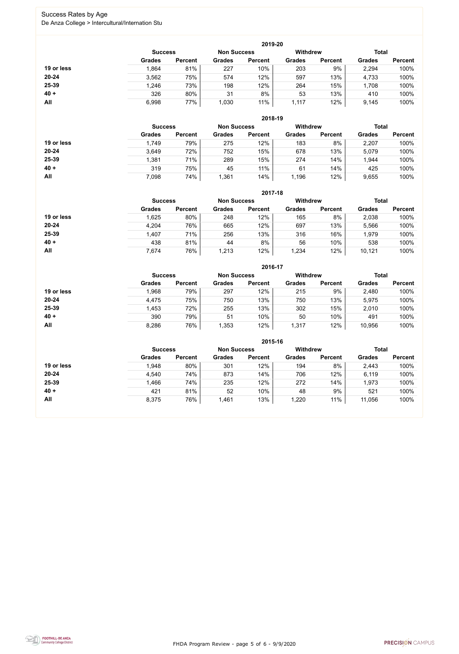FHDA Program Review - page 5 of 6 - 9/9/2020



### Success Rates by Age De Anza College > Intercultural/Internation Stu

|            | 2019-20        |                    |               |                 |               |                |               |                |  |  |
|------------|----------------|--------------------|---------------|-----------------|---------------|----------------|---------------|----------------|--|--|
|            | <b>Success</b> | <b>Non Success</b> |               | <b>Withdrew</b> |               | <b>Total</b>   |               |                |  |  |
|            | <b>Grades</b>  | <b>Percent</b>     | <b>Grades</b> | <b>Percent</b>  | <b>Grades</b> | <b>Percent</b> | <b>Grades</b> | <b>Percent</b> |  |  |
| 19 or less | 1,864          | 81%                | 227           | 10%             | 203           | 9%             | 2,294         | 100%           |  |  |
| $20 - 24$  | 3,562          | 75%                | 574           | 12%             | 597           | 13%            | 4,733         | 100%           |  |  |
| 25-39      | 1,246          | 73%                | 198           | 12%             | 264           | 15%            | 1,708         | 100%           |  |  |
| $40 +$     | 326            | 80%                | 31            | 8%              | 53            | 13%            | 410           | 100%           |  |  |
| All        | 6,998          | 77%                | 1,030         | 11%             | 1,117         | 12%            | 9,145         | 100%           |  |  |

|            | 2018-19        |                    |               |                 |               |                |               |                |  |  |
|------------|----------------|--------------------|---------------|-----------------|---------------|----------------|---------------|----------------|--|--|
|            | <b>Success</b> | <b>Non Success</b> |               | <b>Withdrew</b> |               | <b>Total</b>   |               |                |  |  |
|            | <b>Grades</b>  | <b>Percent</b>     | <b>Grades</b> | <b>Percent</b>  | <b>Grades</b> | <b>Percent</b> | <b>Grades</b> | <b>Percent</b> |  |  |
| 19 or less | 1,749          | 79%                | 275           | 12%             | 183           | 8%             | 2,207         | 100%           |  |  |
| $20 - 24$  | 3,649          | 72%                | 752           | 15%             | 678           | 13%            | 5,079         | 100%           |  |  |
| 25-39      | 1,381          | 71%                | 289           | 15%             | 274           | 14%            | 1,944         | 100%           |  |  |
| $40 +$     | 319            | 75%                | 45            | 11%             | 61            | 14%            | 425           | 100%           |  |  |
| All        | 7,098          | 74%                | ,361          | 14%             | 1,196         | 12%            | 9,655         | 100%           |  |  |

|            | 2017-18                              |                |               |                |                 |                |               |                |  |  |
|------------|--------------------------------------|----------------|---------------|----------------|-----------------|----------------|---------------|----------------|--|--|
|            | <b>Non Success</b><br><b>Success</b> |                |               |                | <b>Withdrew</b> |                | <b>Total</b>  |                |  |  |
|            | <b>Grades</b>                        | <b>Percent</b> | <b>Grades</b> | <b>Percent</b> | <b>Grades</b>   | <b>Percent</b> | <b>Grades</b> | <b>Percent</b> |  |  |
| 19 or less | .625                                 | 80%            | 248           | 12%            | 165             | 8%             | 2,038         | 100%           |  |  |
| $20 - 24$  | 4,204                                | 76%            | 665           | 12%            | 697             | 13%            | 5,566         | 100%           |  |  |
| $25 - 39$  | 1,407                                | 71%            | 256           | 13%            | 316             | 16%            | 1,979         | 100%           |  |  |
| $40 +$     | 438                                  | 81%            | 44            | 8%             | 56              | 10%            | 538           | 100%           |  |  |
| All        | 7,674                                | 76%            | 1,213         | 12%            | 1,234           | 12%            | 10,121        | 100%           |  |  |

|            | 2016-17        |                    |               |                |                                 |                |               |                |  |  |
|------------|----------------|--------------------|---------------|----------------|---------------------------------|----------------|---------------|----------------|--|--|
|            | <b>Success</b> | <b>Non Success</b> |               |                | <b>Withdrew</b><br><b>Total</b> |                |               |                |  |  |
|            | <b>Grades</b>  | <b>Percent</b>     | <b>Grades</b> | <b>Percent</b> | <b>Grades</b>                   | <b>Percent</b> | <b>Grades</b> | <b>Percent</b> |  |  |
| 19 or less | 1,968          | 79%                | 297           | 12%            | 215                             | 9%             | 2,480         | 100%           |  |  |
| $20 - 24$  | 4,475          | 75%                | 750           | 13%            | 750                             | 13%            | 5,975         | 100%           |  |  |
| 25-39      | 1,453          | 72%                | 255           | 13%            | 302                             | 15%            | 2,010         | 100%           |  |  |
| $40 +$     | 390            | 79%                | 51            | 10%            | 50                              | 10%            | 491           | 100%           |  |  |
| All        | 8,286          | 76%                | 1,353         | 12%            | 1,317                           | 12%            | 10,956        | 100%           |  |  |

|            | 2015-16        |                |               |                    |                 |                |               |                |  |  |
|------------|----------------|----------------|---------------|--------------------|-----------------|----------------|---------------|----------------|--|--|
|            | <b>Success</b> |                |               | <b>Non Success</b> | <b>Withdrew</b> |                | <b>Total</b>  |                |  |  |
|            | <b>Grades</b>  | <b>Percent</b> | <b>Grades</b> | <b>Percent</b>     | <b>Grades</b>   | <b>Percent</b> | <b>Grades</b> | <b>Percent</b> |  |  |
| 19 or less | 1,948          | 80%            | 301           | 12%                | 194             | 8%             | 2,443         | 100%           |  |  |
| $20 - 24$  | 4,540          | 74%            | 873           | 14%                | 706             | 12%            | 6,119         | 100%           |  |  |
| $25 - 39$  | 1,466          | 74%            | 235           | 12%                | 272             | 14%            | 1,973         | 100%           |  |  |
| $40 +$     | 421            | 81%            | 52            | 10%                | 48              | 9%             | 521           | 100%           |  |  |
| All        | 8,375          | 76%            | 1,461         | 13%                | 1,220           | 11%            | 11,056        | 100%           |  |  |